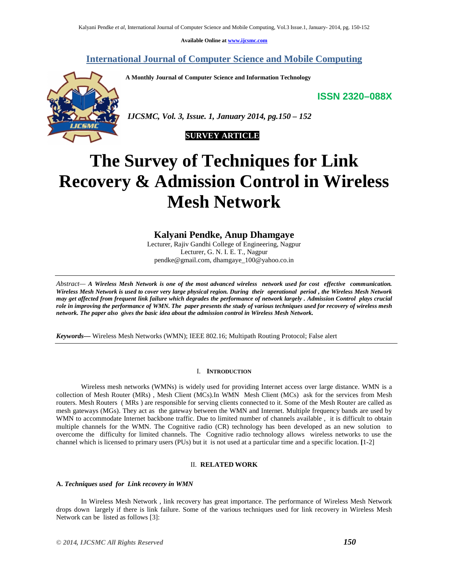**Available Online at www.ijcsmc.com**

**International Journal of Computer Science and Mobile Computing**

**A Monthly Journal of Computer Science and Information Technology**

**ISSN 2320–088X**





# **The Survey of Techniques for Link Recovery & Admission Control in Wireless Mesh Network**

# **Kalyani Pendke, Anup Dhamgaye**

Lecturer, Rajiv Gandhi College of Engineering, Nagpur Lecturer, G. N. I. E. T., Nagpur pendke@gmail.com, dhamgaye\_100@yahoo.co.in

*Abstract— A Wireless Mesh Network is one of the most advanced wireless network used for cost effective communication. Wireless Mesh Network is used to cover very large physical region. During their operational period , the Wireless Mesh Network may get affected from frequent link failure which degrades the performance of network largely . Admission Control plays crucial role in improving the performance of WMN. The paper presents the study of various techniques used for recovery of wireless mesh network. The paper also gives the basic idea about the admission control in Wireless Mesh Network.*

*Keywords—* Wireless Mesh Networks (WMN); IEEE 802.16; Multipath Routing Protocol; False alert

## I. **INTRODUCTION**

Wireless mesh networks (WMNs) is widely used for providing Internet access over large distance. WMN is a collection of Mesh Router (MRs) , Mesh Client (MCs).In WMN Mesh Client (MCs) ask for the services from Mesh routers. Mesh Routers ( MRs ) are responsible for serving clients connected to it. Some of the Mesh Router are called as mesh gateways (MGs). They act as the gateway between the WMN and Internet. Multiple frequency bands are used by WMN to accommodate Internet backbone traffic. Due to limited number of channels available, it is difficult to obtain multiple channels for the WMN. The Cognitive radio (CR) technology has been developed as an new solution to overcome the difficulty for limited channels. The Cognitive radio technology allows wireless networks to use the channel which is licensed to primary users (PUs) but it is not used at a particular time and a specific location. **[**1-2]

#### II. **RELATED WORK**

## **A.** *Techniques used for Link recovery in WMN*

In Wireless Mesh Network , link recovery has great importance. The performance of Wireless Mesh Network drops down largely if there is link failure. Some of the various techniques used for link recovery in Wireless Mesh Network can be listed as follows [3]: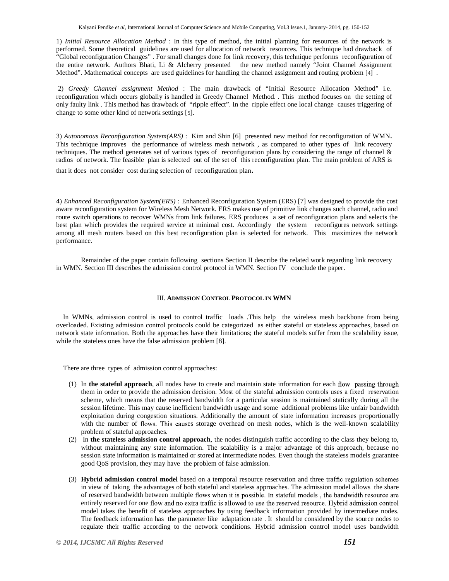1) *Initial Resource Allocation Method* : In this type of method, the initial planning for resources of the network is performed. Some theoretical guidelines are used for allocation of network resources. This technique had drawback of "Global reconfiguration Changes" . For small changes done for link recovery, this technique performs reconfiguration of the entire network. Authors Bhati, Li & Alcherry presented the new method namely "Joint Channel Assignment Method". Mathematical concepts are used guidelines for handling the channel assignment and routing problem [4] .

2) *Greedy Channel assignment Method* : The main drawback of "Initial Resource Allocation Method" i.e. reconfiguration which occurs globally is handled in Greedy Channel Method. . This method focuses on the setting of only faulty link . This method has drawback of "ripple effect". In the ripple effect one local change causes triggering of change to some other kind of network settings [5].

3) *Autonomous Reconfiguration System(ARS)* : Kim and Shin [6] presented new method for reconfiguration of WMN**.** This technique improves the performance of wireless mesh network , as compared to other types of link recovery techniques. The method generates set of various types of reconfiguration plans by considering the range of channel & radios of network. The feasible plan is selected out of the set of this reconfiguration plan. The main problem of ARS is that it does not consider cost during selection of reconfiguration plan.

4) *Enhanced Reconfiguration System(ERS) :* Enhanced Reconfiguration System (ERS) [7] was designed to provide the cost aware reconfiguration system for Wireless Mesh Network. ERS makes use of primitive link changes such channel, radio and route switch operations to recover WMNs from link failures. ERS produces a set of reconfiguration plans and selects the best plan which provides the required service at minimal cost. Accordingly the system reconfigures network settings among all mesh routers based on this best reconfiguration plan is selected for network. This maximizes the network performance.

Remainder of the paper contain following sections Section II describe the related work regarding link recovery in WMN. Section III describes the admission control protocol in WMN. Section IV conclude the paper.

#### III. **ADMISSION CONTROL PROTOCOL IN WMN**

In WMNs, admission control is used to control traffic loads .This help the wireless mesh backbone from being overloaded. Existing admission control protocols could be categorized as either stateful or stateless approaches, based on network state information. Both the approaches have their limitations; the stateful models suffer from the scalability issue, while the stateless ones have the false admission problem [8].

There are three types of admission control approaches:

- (1) In **the stateful approach**, all nodes have to create and maintain state information for each them in order to provide the admission decision. Most of the stateful admission controls uses a fixed reservation scheme, which means that the reserved bandwidth for a particular session is maintained statically during all the session lifetime. This may cause inefficient bandwidth usage and some additional problems like unfair bandwidth exploitation during congestion situations. Additionally the amount of state information increases proportionally with the number of flows. This causes storage overhead on mesh nodes, which is the well-known scalability problem of stateful approaches.
- (2) In **the stateless admission control approach**, the nodes distinguish traffic according to the class they belong to, without maintaining any state information. The scalability is a major advantage of this approach, because no session state information is maintained or stored at intermediate nodes. Even though the stateless models guarantee good QoS provision, they may have the problem of false admission.
- (3) **Hybrid admission control model** based on a temporal resource reservation and three traf in view of taking the advantages of both stateful and stateless approaches. The admission model allows the share of reserved bandwidth between multiple flows when it is possible. In stateful models, the bandwidth resource are entirely reserved for one flow and no extra traffic is allowed to use the reserved resource. Hybrid admission control model takes the benefit of stateless approaches by using feedback information provided by intermediate nodes. The feedback information has the parameter like adaptation rate . It should be considered by the source nodes to regulate their traffic according to the network conditions. Hybrid admission control model uses bandwidth